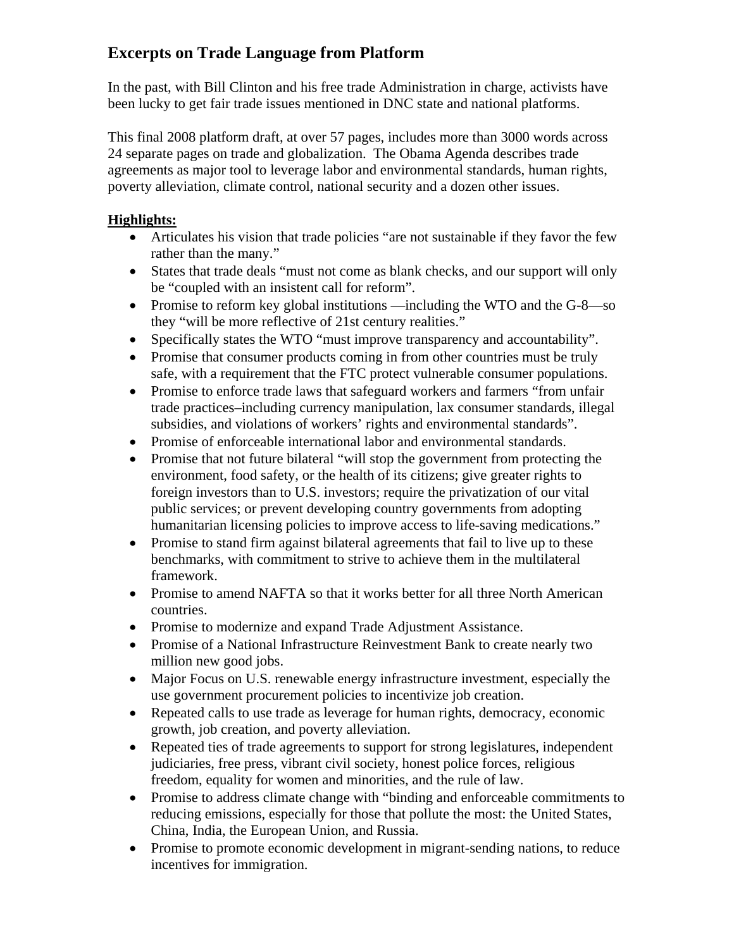# **Excerpts on Trade Language from Platform**

In the past, with Bill Clinton and his free trade Administration in charge, activists have been lucky to get fair trade issues mentioned in DNC state and national platforms.

This final 2008 platform draft, at over 57 pages, includes more than 3000 words across 24 separate pages on trade and globalization. The Obama Agenda describes trade agreements as major tool to leverage labor and environmental standards, human rights, poverty alleviation, climate control, national security and a dozen other issues.

## **Highlights:**

- Articulates his vision that trade policies "are not sustainable if they favor the few rather than the many."
- States that trade deals "must not come as blank checks, and our support will only be "coupled with an insistent call for reform".
- Promise to reform key global institutions —including the WTO and the G-8—so they "will be more reflective of 21st century realities."
- Specifically states the WTO "must improve transparency and accountability".
- Promise that consumer products coming in from other countries must be truly safe, with a requirement that the FTC protect vulnerable consumer populations.
- Promise to enforce trade laws that safeguard workers and farmers "from unfair trade practices–including currency manipulation, lax consumer standards, illegal subsidies, and violations of workers' rights and environmental standards".
- Promise of enforceable international labor and environmental standards.
- Promise that not future bilateral "will stop the government from protecting the environment, food safety, or the health of its citizens; give greater rights to foreign investors than to U.S. investors; require the privatization of our vital public services; or prevent developing country governments from adopting humanitarian licensing policies to improve access to life-saving medications."
- Promise to stand firm against bilateral agreements that fail to live up to these benchmarks, with commitment to strive to achieve them in the multilateral framework.
- Promise to amend NAFTA so that it works better for all three North American countries.
- Promise to modernize and expand Trade Adjustment Assistance.
- Promise of a National Infrastructure Reinvestment Bank to create nearly two million new good jobs.
- Major Focus on U.S. renewable energy infrastructure investment, especially the use government procurement policies to incentivize job creation.
- Repeated calls to use trade as leverage for human rights, democracy, economic growth, job creation, and poverty alleviation.
- Repeated ties of trade agreements to support for strong legislatures, independent judiciaries, free press, vibrant civil society, honest police forces, religious freedom, equality for women and minorities, and the rule of law.
- Promise to address climate change with "binding and enforceable commitments to reducing emissions, especially for those that pollute the most: the United States, China, India, the European Union, and Russia.
- Promise to promote economic development in migrant-sending nations, to reduce incentives for immigration.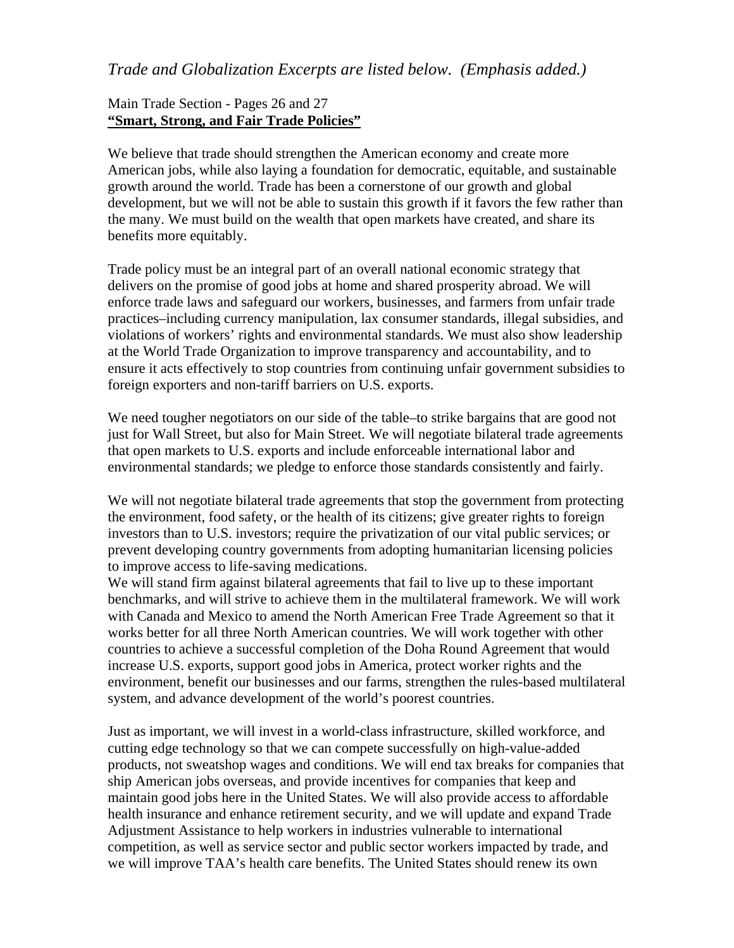## *Trade and Globalization Excerpts are listed below. (Emphasis added.)*

#### Main Trade Section - Pages 26 and 27 **"Smart, Strong, and Fair Trade Policies"**

We believe that trade should strengthen the American economy and create more American jobs, while also laying a foundation for democratic, equitable, and sustainable growth around the world. Trade has been a cornerstone of our growth and global development, but we will not be able to sustain this growth if it favors the few rather than the many. We must build on the wealth that open markets have created, and share its benefits more equitably.

Trade policy must be an integral part of an overall national economic strategy that delivers on the promise of good jobs at home and shared prosperity abroad. We will enforce trade laws and safeguard our workers, businesses, and farmers from unfair trade practices–including currency manipulation, lax consumer standards, illegal subsidies, and violations of workers' rights and environmental standards. We must also show leadership at the World Trade Organization to improve transparency and accountability, and to ensure it acts effectively to stop countries from continuing unfair government subsidies to foreign exporters and non-tariff barriers on U.S. exports.

We need tougher negotiators on our side of the table–to strike bargains that are good not just for Wall Street, but also for Main Street. We will negotiate bilateral trade agreements that open markets to U.S. exports and include enforceable international labor and environmental standards; we pledge to enforce those standards consistently and fairly.

We will not negotiate bilateral trade agreements that stop the government from protecting the environment, food safety, or the health of its citizens; give greater rights to foreign investors than to U.S. investors; require the privatization of our vital public services; or prevent developing country governments from adopting humanitarian licensing policies to improve access to life-saving medications.

We will stand firm against bilateral agreements that fail to live up to these important benchmarks, and will strive to achieve them in the multilateral framework. We will work with Canada and Mexico to amend the North American Free Trade Agreement so that it works better for all three North American countries. We will work together with other countries to achieve a successful completion of the Doha Round Agreement that would increase U.S. exports, support good jobs in America, protect worker rights and the environment, benefit our businesses and our farms, strengthen the rules-based multilateral system, and advance development of the world's poorest countries.

Just as important, we will invest in a world-class infrastructure, skilled workforce, and cutting edge technology so that we can compete successfully on high-value-added products, not sweatshop wages and conditions. We will end tax breaks for companies that ship American jobs overseas, and provide incentives for companies that keep and maintain good jobs here in the United States. We will also provide access to affordable health insurance and enhance retirement security, and we will update and expand Trade Adjustment Assistance to help workers in industries vulnerable to international competition, as well as service sector and public sector workers impacted by trade, and we will improve TAA's health care benefits. The United States should renew its own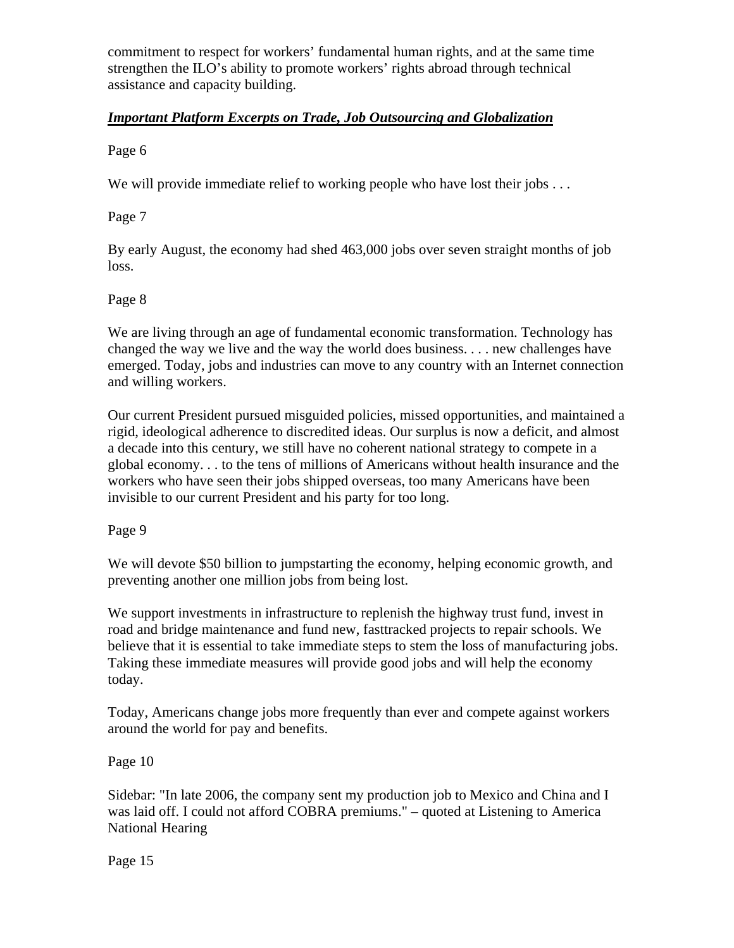commitment to respect for workers' fundamental human rights, and at the same time strengthen the ILO's ability to promote workers' rights abroad through technical assistance and capacity building.

## *Important Platform Excerpts on Trade, Job Outsourcing and Globalization*

Page 6

We will provide immediate relief to working people who have lost their jobs ...

Page 7

By early August, the economy had shed 463,000 jobs over seven straight months of job loss.

## Page 8

We are living through an age of fundamental economic transformation. Technology has changed the way we live and the way the world does business. . . . new challenges have emerged. Today, jobs and industries can move to any country with an Internet connection and willing workers.

Our current President pursued misguided policies, missed opportunities, and maintained a rigid, ideological adherence to discredited ideas. Our surplus is now a deficit, and almost a decade into this century, we still have no coherent national strategy to compete in a global economy. . . to the tens of millions of Americans without health insurance and the workers who have seen their jobs shipped overseas, too many Americans have been invisible to our current President and his party for too long.

Page 9

We will devote \$50 billion to jumpstarting the economy, helping economic growth, and preventing another one million jobs from being lost.

We support investments in infrastructure to replenish the highway trust fund, invest in road and bridge maintenance and fund new, fasttracked projects to repair schools. We believe that it is essential to take immediate steps to stem the loss of manufacturing jobs. Taking these immediate measures will provide good jobs and will help the economy today.

Today, Americans change jobs more frequently than ever and compete against workers around the world for pay and benefits.

Page 10

Sidebar: "In late 2006, the company sent my production job to Mexico and China and I was laid off. I could not afford COBRA premiums." – quoted at Listening to America National Hearing

Page 15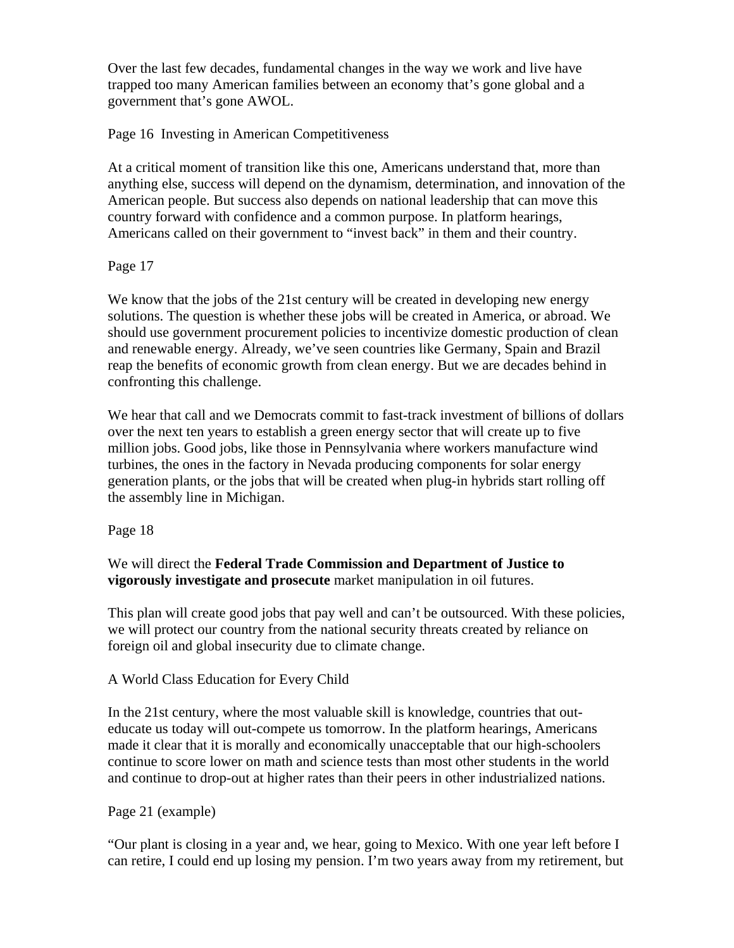Over the last few decades, fundamental changes in the way we work and live have trapped too many American families between an economy that's gone global and a government that's gone AWOL.

#### Page 16 Investing in American Competitiveness

At a critical moment of transition like this one, Americans understand that, more than anything else, success will depend on the dynamism, determination, and innovation of the American people. But success also depends on national leadership that can move this country forward with confidence and a common purpose. In platform hearings, Americans called on their government to "invest back" in them and their country.

#### Page 17

We know that the jobs of the 21st century will be created in developing new energy solutions. The question is whether these jobs will be created in America, or abroad. We should use government procurement policies to incentivize domestic production of clean and renewable energy. Already, we've seen countries like Germany, Spain and Brazil reap the benefits of economic growth from clean energy. But we are decades behind in confronting this challenge.

We hear that call and we Democrats commit to fast-track investment of billions of dollars over the next ten years to establish a green energy sector that will create up to five million jobs. Good jobs, like those in Pennsylvania where workers manufacture wind turbines, the ones in the factory in Nevada producing components for solar energy generation plants, or the jobs that will be created when plug-in hybrids start rolling off the assembly line in Michigan.

Page 18

## We will direct the **Federal Trade Commission and Department of Justice to vigorously investigate and prosecute** market manipulation in oil futures.

This plan will create good jobs that pay well and can't be outsourced. With these policies, we will protect our country from the national security threats created by reliance on foreign oil and global insecurity due to climate change.

## A World Class Education for Every Child

In the 21st century, where the most valuable skill is knowledge, countries that outeducate us today will out-compete us tomorrow. In the platform hearings, Americans made it clear that it is morally and economically unacceptable that our high-schoolers continue to score lower on math and science tests than most other students in the world and continue to drop-out at higher rates than their peers in other industrialized nations.

## Page 21 (example)

"Our plant is closing in a year and, we hear, going to Mexico. With one year left before I can retire, I could end up losing my pension. I'm two years away from my retirement, but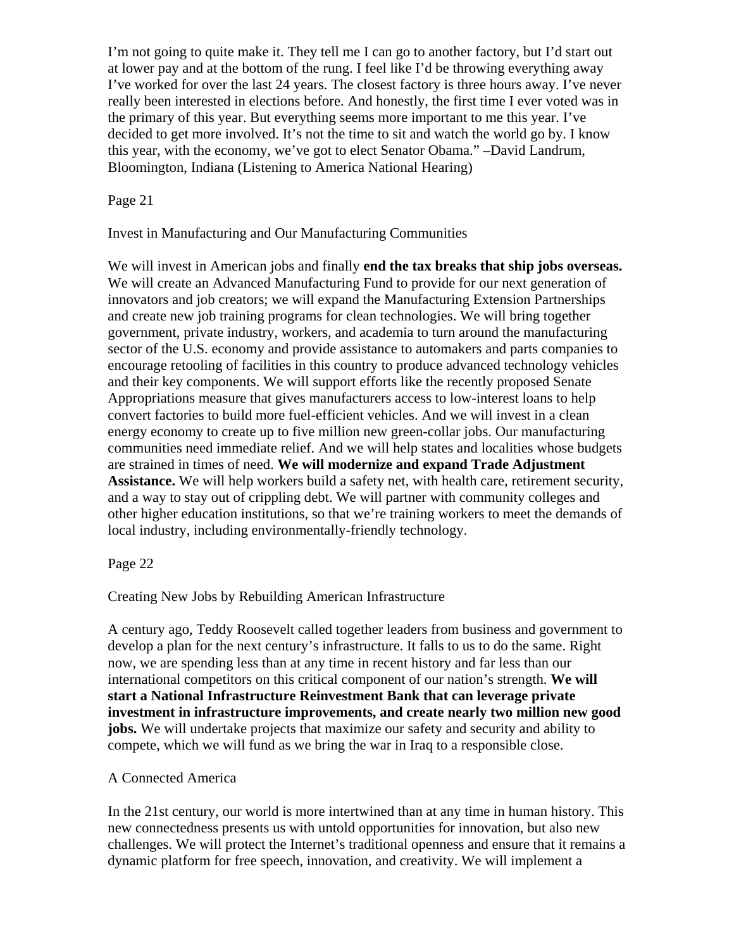I'm not going to quite make it. They tell me I can go to another factory, but I'd start out at lower pay and at the bottom of the rung. I feel like I'd be throwing everything away I've worked for over the last 24 years. The closest factory is three hours away. I've never really been interested in elections before. And honestly, the first time I ever voted was in the primary of this year. But everything seems more important to me this year. I've decided to get more involved. It's not the time to sit and watch the world go by. I know this year, with the economy, we've got to elect Senator Obama." –David Landrum, Bloomington, Indiana (Listening to America National Hearing)

Page 21

Invest in Manufacturing and Our Manufacturing Communities

We will invest in American jobs and finally **end the tax breaks that ship jobs overseas.** We will create an Advanced Manufacturing Fund to provide for our next generation of innovators and job creators; we will expand the Manufacturing Extension Partnerships and create new job training programs for clean technologies. We will bring together government, private industry, workers, and academia to turn around the manufacturing sector of the U.S. economy and provide assistance to automakers and parts companies to encourage retooling of facilities in this country to produce advanced technology vehicles and their key components. We will support efforts like the recently proposed Senate Appropriations measure that gives manufacturers access to low-interest loans to help convert factories to build more fuel-efficient vehicles. And we will invest in a clean energy economy to create up to five million new green-collar jobs. Our manufacturing communities need immediate relief. And we will help states and localities whose budgets are strained in times of need. **We will modernize and expand Trade Adjustment Assistance.** We will help workers build a safety net, with health care, retirement security, and a way to stay out of crippling debt. We will partner with community colleges and other higher education institutions, so that we're training workers to meet the demands of local industry, including environmentally-friendly technology.

## Page 22

Creating New Jobs by Rebuilding American Infrastructure

A century ago, Teddy Roosevelt called together leaders from business and government to develop a plan for the next century's infrastructure. It falls to us to do the same. Right now, we are spending less than at any time in recent history and far less than our international competitors on this critical component of our nation's strength. **We will start a National Infrastructure Reinvestment Bank that can leverage private investment in infrastructure improvements, and create nearly two million new good jobs.** We will undertake projects that maximize our safety and security and ability to compete, which we will fund as we bring the war in Iraq to a responsible close.

## A Connected America

In the 21st century, our world is more intertwined than at any time in human history. This new connectedness presents us with untold opportunities for innovation, but also new challenges. We will protect the Internet's traditional openness and ensure that it remains a dynamic platform for free speech, innovation, and creativity. We will implement a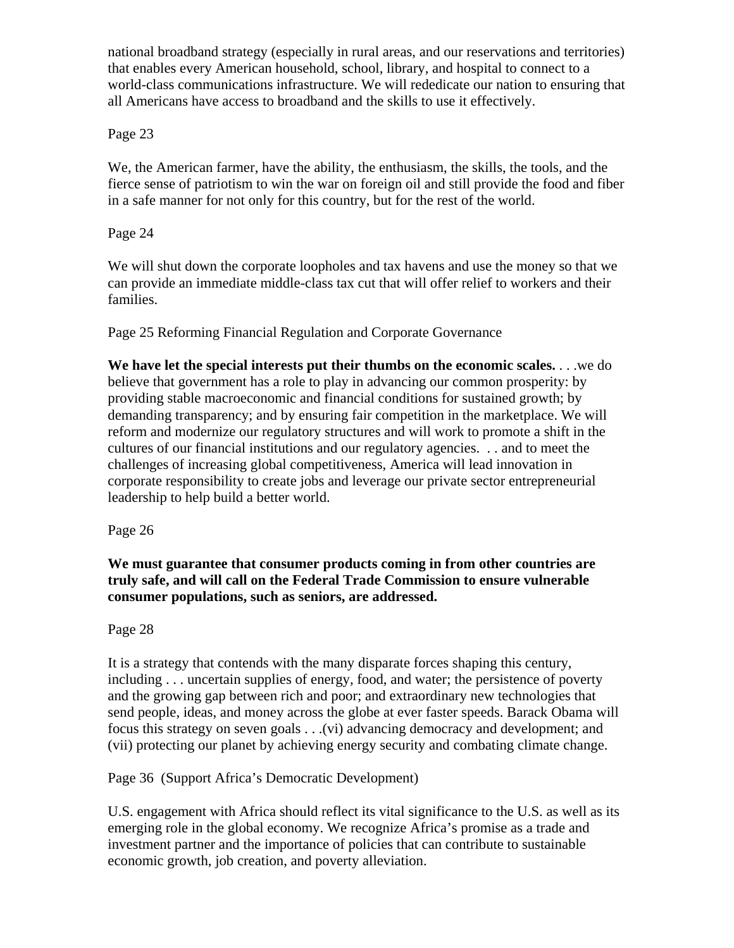national broadband strategy (especially in rural areas, and our reservations and territories) that enables every American household, school, library, and hospital to connect to a world-class communications infrastructure. We will rededicate our nation to ensuring that all Americans have access to broadband and the skills to use it effectively.

## Page 23

We, the American farmer, have the ability, the enthusiasm, the skills, the tools, and the fierce sense of patriotism to win the war on foreign oil and still provide the food and fiber in a safe manner for not only for this country, but for the rest of the world.

#### Page 24

We will shut down the corporate loopholes and tax havens and use the money so that we can provide an immediate middle-class tax cut that will offer relief to workers and their families.

Page 25 Reforming Financial Regulation and Corporate Governance

**We have let the special interests put their thumbs on the economic scales.** . . .we do believe that government has a role to play in advancing our common prosperity: by providing stable macroeconomic and financial conditions for sustained growth; by demanding transparency; and by ensuring fair competition in the marketplace. We will reform and modernize our regulatory structures and will work to promote a shift in the cultures of our financial institutions and our regulatory agencies. . . and to meet the challenges of increasing global competitiveness, America will lead innovation in corporate responsibility to create jobs and leverage our private sector entrepreneurial leadership to help build a better world.

Page 26

**We must guarantee that consumer products coming in from other countries are truly safe, and will call on the Federal Trade Commission to ensure vulnerable consumer populations, such as seniors, are addressed.** 

## Page 28

It is a strategy that contends with the many disparate forces shaping this century, including . . . uncertain supplies of energy, food, and water; the persistence of poverty and the growing gap between rich and poor; and extraordinary new technologies that send people, ideas, and money across the globe at ever faster speeds. Barack Obama will focus this strategy on seven goals . . .(vi) advancing democracy and development; and (vii) protecting our planet by achieving energy security and combating climate change.

## Page 36 (Support Africa's Democratic Development)

U.S. engagement with Africa should reflect its vital significance to the U.S. as well as its emerging role in the global economy. We recognize Africa's promise as a trade and investment partner and the importance of policies that can contribute to sustainable economic growth, job creation, and poverty alleviation.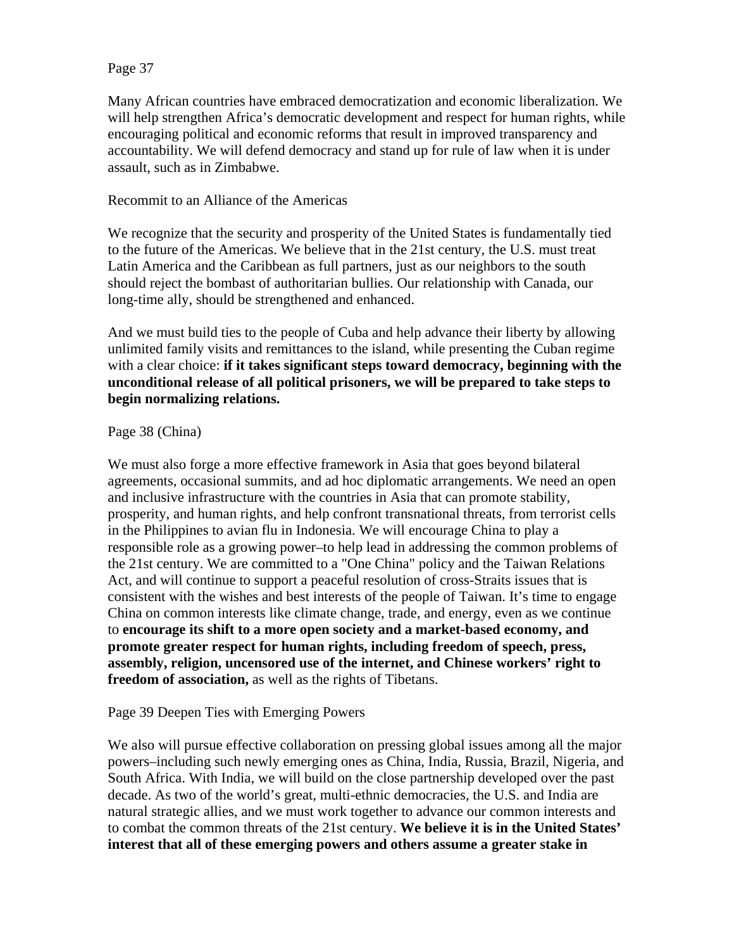#### Page 37

Many African countries have embraced democratization and economic liberalization. We will help strengthen Africa's democratic development and respect for human rights, while encouraging political and economic reforms that result in improved transparency and accountability. We will defend democracy and stand up for rule of law when it is under assault, such as in Zimbabwe.

#### Recommit to an Alliance of the Americas

We recognize that the security and prosperity of the United States is fundamentally tied to the future of the Americas. We believe that in the 21st century, the U.S. must treat Latin America and the Caribbean as full partners, just as our neighbors to the south should reject the bombast of authoritarian bullies. Our relationship with Canada, our long-time ally, should be strengthened and enhanced.

And we must build ties to the people of Cuba and help advance their liberty by allowing unlimited family visits and remittances to the island, while presenting the Cuban regime with a clear choice: **if it takes significant steps toward democracy, beginning with the unconditional release of all political prisoners, we will be prepared to take steps to begin normalizing relations.** 

#### Page 38 (China)

We must also forge a more effective framework in Asia that goes beyond bilateral agreements, occasional summits, and ad hoc diplomatic arrangements. We need an open and inclusive infrastructure with the countries in Asia that can promote stability, prosperity, and human rights, and help confront transnational threats, from terrorist cells in the Philippines to avian flu in Indonesia. We will encourage China to play a responsible role as a growing power–to help lead in addressing the common problems of the 21st century. We are committed to a "One China" policy and the Taiwan Relations Act, and will continue to support a peaceful resolution of cross-Straits issues that is consistent with the wishes and best interests of the people of Taiwan. It's time to engage China on common interests like climate change, trade, and energy, even as we continue to **encourage its shift to a more open society and a market-based economy, and promote greater respect for human rights, including freedom of speech, press, assembly, religion, uncensored use of the internet, and Chinese workers' right to freedom of association,** as well as the rights of Tibetans.

#### Page 39 Deepen Ties with Emerging Powers

We also will pursue effective collaboration on pressing global issues among all the major powers–including such newly emerging ones as China, India, Russia, Brazil, Nigeria, and South Africa. With India, we will build on the close partnership developed over the past decade. As two of the world's great, multi-ethnic democracies, the U.S. and India are natural strategic allies, and we must work together to advance our common interests and to combat the common threats of the 21st century. **We believe it is in the United States' interest that all of these emerging powers and others assume a greater stake in**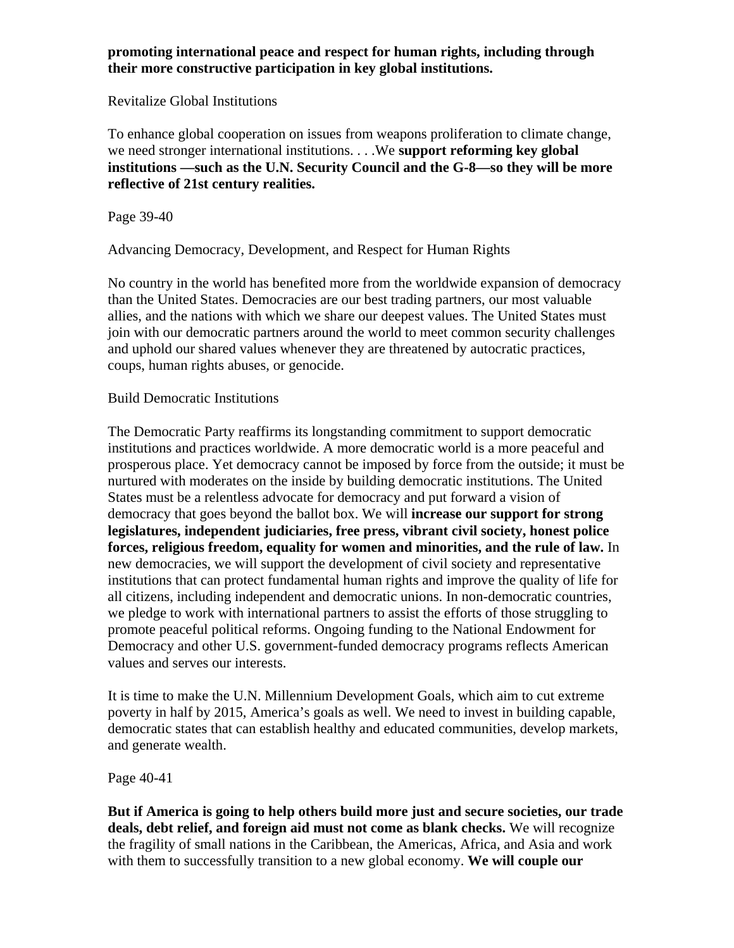#### **promoting international peace and respect for human rights, including through their more constructive participation in key global institutions.**

#### Revitalize Global Institutions

To enhance global cooperation on issues from weapons proliferation to climate change, we need stronger international institutions. . . .We **support reforming key global institutions —such as the U.N. Security Council and the G-8—so they will be more reflective of 21st century realities.**

Page 39-40

Advancing Democracy, Development, and Respect for Human Rights

No country in the world has benefited more from the worldwide expansion of democracy than the United States. Democracies are our best trading partners, our most valuable allies, and the nations with which we share our deepest values. The United States must join with our democratic partners around the world to meet common security challenges and uphold our shared values whenever they are threatened by autocratic practices, coups, human rights abuses, or genocide.

## Build Democratic Institutions

The Democratic Party reaffirms its longstanding commitment to support democratic institutions and practices worldwide. A more democratic world is a more peaceful and prosperous place. Yet democracy cannot be imposed by force from the outside; it must be nurtured with moderates on the inside by building democratic institutions. The United States must be a relentless advocate for democracy and put forward a vision of democracy that goes beyond the ballot box. We will **increase our support for strong legislatures, independent judiciaries, free press, vibrant civil society, honest police forces, religious freedom, equality for women and minorities, and the rule of law.** In new democracies, we will support the development of civil society and representative institutions that can protect fundamental human rights and improve the quality of life for all citizens, including independent and democratic unions. In non-democratic countries, we pledge to work with international partners to assist the efforts of those struggling to promote peaceful political reforms. Ongoing funding to the National Endowment for Democracy and other U.S. government-funded democracy programs reflects American values and serves our interests.

It is time to make the U.N. Millennium Development Goals, which aim to cut extreme poverty in half by 2015, America's goals as well. We need to invest in building capable, democratic states that can establish healthy and educated communities, develop markets, and generate wealth.

Page 40-41

**But if America is going to help others build more just and secure societies, our trade deals, debt relief, and foreign aid must not come as blank checks.** We will recognize the fragility of small nations in the Caribbean, the Americas, Africa, and Asia and work with them to successfully transition to a new global economy. **We will couple our**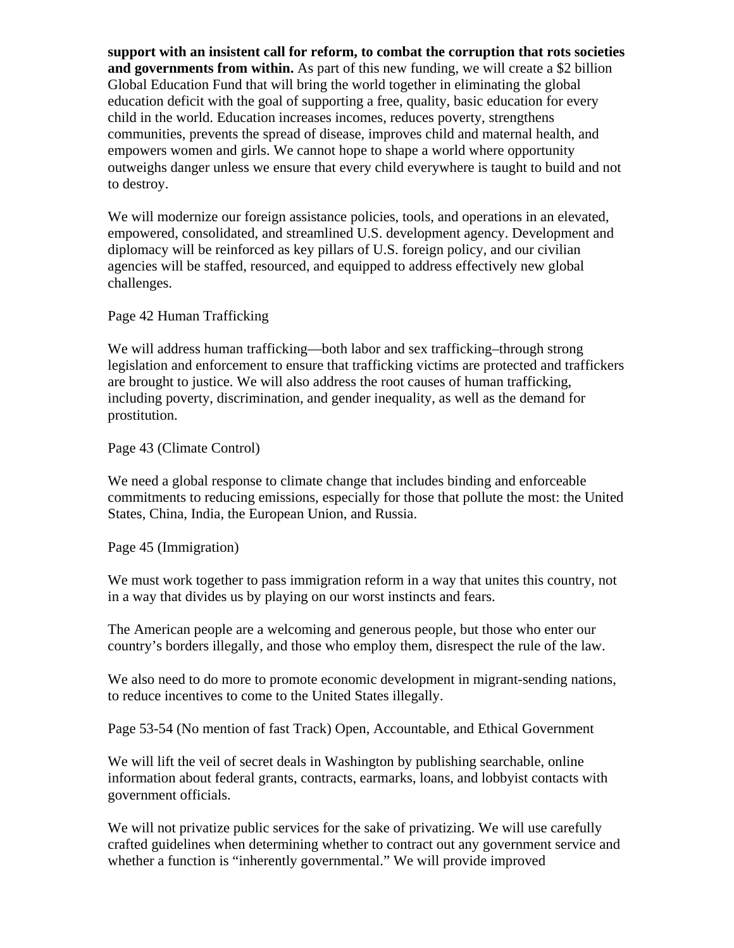**support with an insistent call for reform, to combat the corruption that rots societies and governments from within.** As part of this new funding, we will create a \$2 billion Global Education Fund that will bring the world together in eliminating the global education deficit with the goal of supporting a free, quality, basic education for every child in the world. Education increases incomes, reduces poverty, strengthens communities, prevents the spread of disease, improves child and maternal health, and empowers women and girls. We cannot hope to shape a world where opportunity outweighs danger unless we ensure that every child everywhere is taught to build and not to destroy.

We will modernize our foreign assistance policies, tools, and operations in an elevated, empowered, consolidated, and streamlined U.S. development agency. Development and diplomacy will be reinforced as key pillars of U.S. foreign policy, and our civilian agencies will be staffed, resourced, and equipped to address effectively new global challenges.

Page 42 Human Trafficking

We will address human trafficking—both labor and sex trafficking–through strong legislation and enforcement to ensure that trafficking victims are protected and traffickers are brought to justice. We will also address the root causes of human trafficking, including poverty, discrimination, and gender inequality, as well as the demand for prostitution.

Page 43 (Climate Control)

We need a global response to climate change that includes binding and enforceable commitments to reducing emissions, especially for those that pollute the most: the United States, China, India, the European Union, and Russia.

Page 45 (Immigration)

We must work together to pass immigration reform in a way that unites this country, not in a way that divides us by playing on our worst instincts and fears.

The American people are a welcoming and generous people, but those who enter our country's borders illegally, and those who employ them, disrespect the rule of the law.

We also need to do more to promote economic development in migrant-sending nations, to reduce incentives to come to the United States illegally.

Page 53-54 (No mention of fast Track) Open, Accountable, and Ethical Government

We will lift the veil of secret deals in Washington by publishing searchable, online information about federal grants, contracts, earmarks, loans, and lobbyist contacts with government officials.

We will not privatize public services for the sake of privatizing. We will use carefully crafted guidelines when determining whether to contract out any government service and whether a function is "inherently governmental." We will provide improved